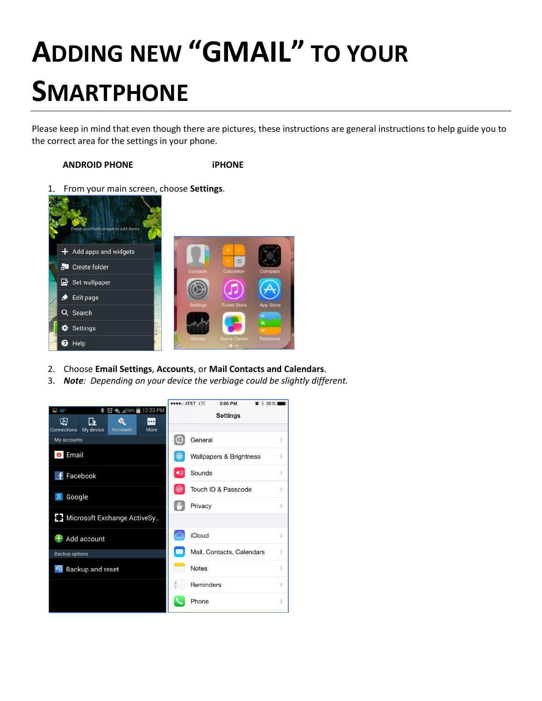# **ADDING NEW "GMAIL" TO YOUR SMARTPHONE**

Please keep in mind that even though there are pictures, these instructions are general instructions to help guide you to the correct area for the settings in your phone.

# **ANDROID PHONE iPHONE**

1. From your main screen, choose **Settings**.



- 2. Choose **Email Settings**, **Accounts**, or **Mail Contacts and Calendars**.
- 3. *Note: Depending on your device the verbiage could be slightly different.*

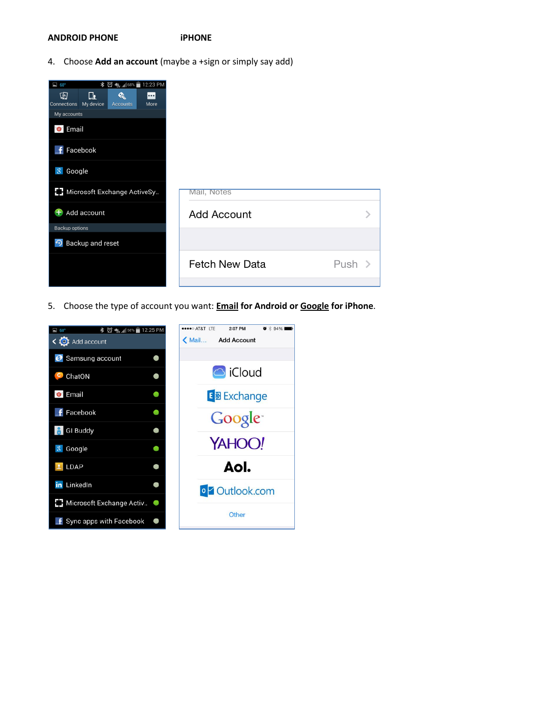#### **ANDROID PHONE iPHONE**

4. Choose **Add an account** (maybe a +sign or simply say add)

| * 図 4gr .4 68% ■ 12:23 PM<br>$\Box$ 60°<br>圍<br>匝<br>«<br><u></u>  |                       |          |
|--------------------------------------------------------------------|-----------------------|----------|
| My device<br>Connections<br>More<br><b>Accounts</b><br>My accounts |                       |          |
| <b>O</b> Email                                                     |                       |          |
| Facebook<br>÷                                                      |                       |          |
| Google<br>8                                                        |                       |          |
| E] Microsoft Exchange ActiveSy                                     | Mail, Notes           |          |
| Add account<br>Ŧ                                                   | <b>Add Account</b>    |          |
| Backup options                                                     |                       |          |
| • Backup and reset                                                 |                       |          |
|                                                                    | <b>Fetch New Data</b> | Push $>$ |
|                                                                    |                       |          |

5. Choose the type of account you want: **Email for Android or Google for iPhone**.

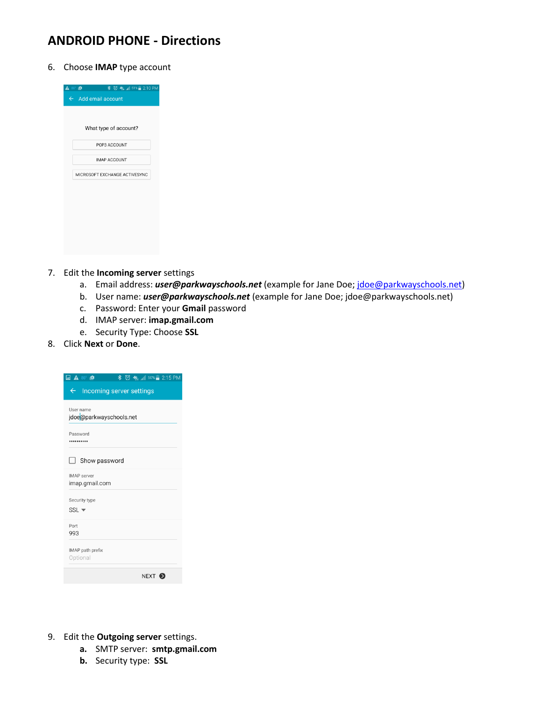# **ANDROID PHONE - Directions**

6. Choose **IMAP** type account



- 7. Edit the **Incoming server** settings
	- a. Email address: *user@parkwayschools.net* (example for Jane Doe[; jdoe@parkwayschools.net\)](mailto:jdoe@parkwayschools.net)
	- b. User name: *user@parkwayschools.net* (example for Jane Doe; jdoe@parkwayschools.net)
	- c. Password: Enter your **Gmail** password
	- d. IMAP server: **imap.gmail.com**
	- e. Security Type: Choose **SSL**

## 8. Click **Next** or **Done**.

| $\blacksquare$ $\blacktriangle$ 86° $\blacksquare$<br>$\frac{1}{2}$ $\frac{1}{2}$ $\frac{1}{2}$ $\frac{1}{2}$ 50% $\frac{1}{2}$ 2:15 PM |
|-----------------------------------------------------------------------------------------------------------------------------------------|
| $\leftarrow$<br>Incoming server settings                                                                                                |
| User name<br>jdoe@parkwayschools.net                                                                                                    |
| Password<br>                                                                                                                            |
| Show password<br>$\overline{\phantom{0}}$                                                                                               |
| <b>IMAP</b> server<br>imap.gmail.com                                                                                                    |
| Security type<br>$SSL \blacktriangleright$                                                                                              |
| Port<br>993                                                                                                                             |
| IMAP path prefix<br>Optional                                                                                                            |
| NEXT <sup>O</sup>                                                                                                                       |

- 9. Edit the **Outgoing server** settings.
	- **a.** SMTP server: **smtp.gmail.com**
	- **b.** Security type: **SSL**